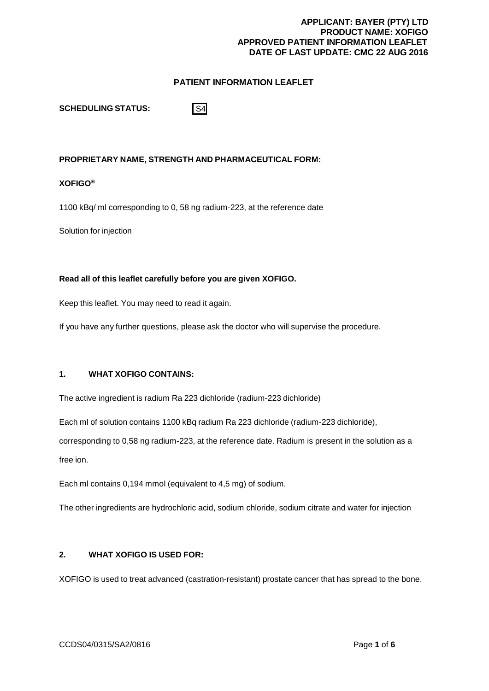# **PATIENT INFORMATION LEAFLET**

**SCHEDULING STATUS:**

S4

# **PROPRIETARY NAME, STRENGTH AND PHARMACEUTICAL FORM:**

### **XOFIGO®**

1100 kBq/ ml corresponding to 0, 58 ng radium-223, at the reference date

Solution for injection

#### **Read all of this leaflet carefully before you are given XOFIGO.**

Keep this leaflet. You may need to read it again.

If you have any further questions, please ask the doctor who will supervise the procedure.

# **1. WHAT XOFIGO CONTAINS:**

The active ingredient is radium Ra 223 dichloride (radium-223 dichloride)

Each ml of solution contains 1100 kBq radium Ra 223 dichloride (radium-223 dichloride),

corresponding to 0,58 ng radium-223, at the reference date. Radium is present in the solution as a

free ion.

Each ml contains 0,194 mmol (equivalent to 4,5 mg) of sodium.

The other ingredients are hydrochloric acid, sodium chloride, sodium citrate and water for injection

# **2. WHAT XOFIGO IS USED FOR:**

XOFIGO is used to treat advanced (castration-resistant) prostate cancer that has spread to the bone.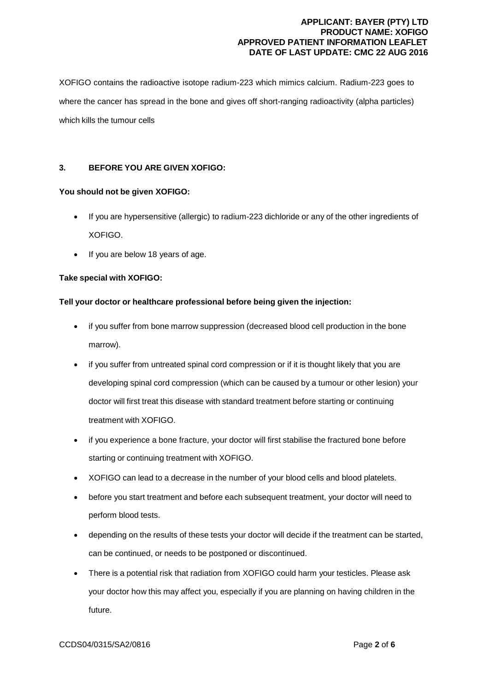XOFIGO contains the radioactive isotope radium-223 which mimics calcium. Radium-223 goes to where the cancer has spread in the bone and gives off short-ranging radioactivity (alpha particles) which kills the tumour cells

# **3. BEFORE YOU ARE GIVEN XOFIGO:**

# **You should not be given XOFIGO:**

- If you are hypersensitive (allergic) to radium-223 dichloride or any of the other ingredients of XOFIGO.
- If you are below 18 years of age.

# **Take special with XOFIGO:**

# **Tell your doctor or healthcare professional before being given the injection:**

- if you suffer from bone marrow suppression (decreased blood cell production in the bone marrow).
- if you suffer from untreated spinal cord compression or if it is thought likely that you are developing spinal cord compression (which can be caused by a tumour or other lesion) your doctor will first treat this disease with standard treatment before starting or continuing treatment with XOFIGO.
- if you experience a bone fracture, your doctor will first stabilise the fractured bone before starting or continuing treatment with XOFIGO.
- XOFIGO can lead to a decrease in the number of your blood cells and blood platelets.
- before you start treatment and before each subsequent treatment, your doctor will need to perform blood tests.
- depending on the results of these tests your doctor will decide if the treatment can be started, can be continued, or needs to be postponed or discontinued.
- There is a potential risk that radiation from XOFIGO could harm your testicles. Please ask your doctor how this may affect you, especially if you are planning on having children in the future.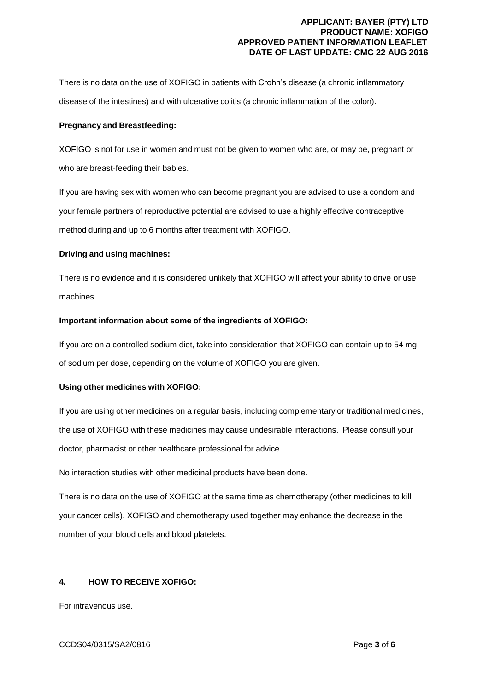There is no data on the use of XOFIGO in patients with Crohn's disease (a chronic inflammatory disease of the intestines) and with ulcerative colitis (a chronic inflammation of the colon).

#### **Pregnancy and Breastfeeding:**

XOFIGO is not for use in women and must not be given to women who are, or may be, pregnant or who are breast-feeding their babies.

If you are having sex with women who can become pregnant you are advised to use a condom and your female partners of reproductive potential are advised to use a highly effective contraceptive method during and up to 6 months after treatment with XOFIGO.

#### **Driving and using machines:**

There is no evidence and it is considered unlikely that XOFIGO will affect your ability to drive or use machines.

#### **Important information about some of the ingredients of XOFIGO:**

If you are on a controlled sodium diet, take into consideration that XOFIGO can contain up to 54 mg of sodium per dose, depending on the volume of XOFIGO you are given.

#### **Using other medicines with XOFIGO:**

If you are using other medicines on a regular basis, including complementary or traditional medicines, the use of XOFIGO with these medicines may cause undesirable interactions. Please consult your doctor, pharmacist or other healthcare professional for advice.

No interaction studies with other medicinal products have been done.

There is no data on the use of XOFIGO at the same time as chemotherapy (other medicines to kill your cancer cells). XOFIGO and chemotherapy used together may enhance the decrease in the number of your blood cells and blood platelets.

## **4. HOW TO RECEIVE XOFIGO:**

For intravenous use.

#### CCDS04/0315/SA2/0816 Page **3** of **6**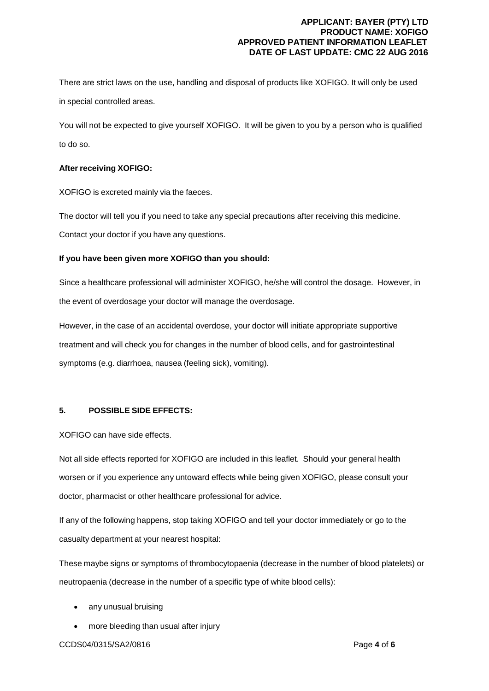There are strict laws on the use, handling and disposal of products like XOFIGO. It will only be used in special controlled areas.

You will not be expected to give yourself XOFIGO. It will be given to you by a person who is qualified to do so.

### **After receiving XOFIGO:**

XOFIGO is excreted mainly via the faeces.

The doctor will tell you if you need to take any special precautions after receiving this medicine.

Contact your doctor if you have any questions.

### **If you have been given more XOFIGO than you should:**

Since a healthcare professional will administer XOFIGO, he/she will control the dosage. However, in the event of overdosage your doctor will manage the overdosage.

However, in the case of an accidental overdose, your doctor will initiate appropriate supportive treatment and will check you for changes in the number of blood cells, and for gastrointestinal symptoms (e.g. diarrhoea, nausea (feeling sick), vomiting).

#### **5. POSSIBLE SIDE EFFECTS:**

XOFIGO can have side effects.

Not all side effects reported for XOFIGO are included in this leaflet. Should your general health worsen or if you experience any untoward effects while being given XOFIGO, please consult your doctor, pharmacist or other healthcare professional for advice.

If any of the following happens, stop taking XOFIGO and tell your doctor immediately or go to the casualty department at your nearest hospital:

These maybe signs or symptoms of thrombocytopaenia (decrease in the number of blood platelets) or neutropaenia (decrease in the number of a specific type of white blood cells):

- any unusual bruising
- more bleeding than usual after injury

CCDS04/0315/SA2/0816 Page **4** of **6**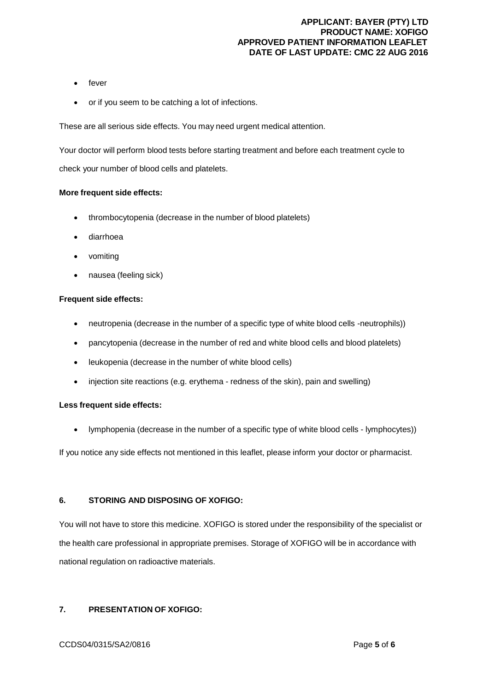- fever
- or if you seem to be catching a lot of infections.

These are all serious side effects. You may need urgent medical attention.

Your doctor will perform blood tests before starting treatment and before each treatment cycle to check your number of blood cells and platelets.

#### **More frequent side effects:**

- thrombocytopenia (decrease in the number of blood platelets)
- diarrhoea
- vomiting
- nausea (feeling sick)

#### **Frequent side effects:**

- neutropenia (decrease in the number of a specific type of white blood cells -neutrophils))
- pancytopenia (decrease in the number of red and white blood cells and blood platelets)
- leukopenia (decrease in the number of white blood cells)
- injection site reactions (e.g. erythema redness of the skin), pain and swelling)

#### **Less frequent side effects:**

lymphopenia (decrease in the number of a specific type of white blood cells - lymphocytes))

If you notice any side effects not mentioned in this leaflet, please inform your doctor or pharmacist.

# **6. STORING AND DISPOSING OF XOFIGO:**

You will not have to store this medicine. XOFIGO is stored under the responsibility of the specialist or the health care professional in appropriate premises. Storage of XOFIGO will be in accordance with national regulation on radioactive materials.

### **7. PRESENTATION OF XOFIGO:**

#### CCDS04/0315/SA2/0816 Page **5** of **6**